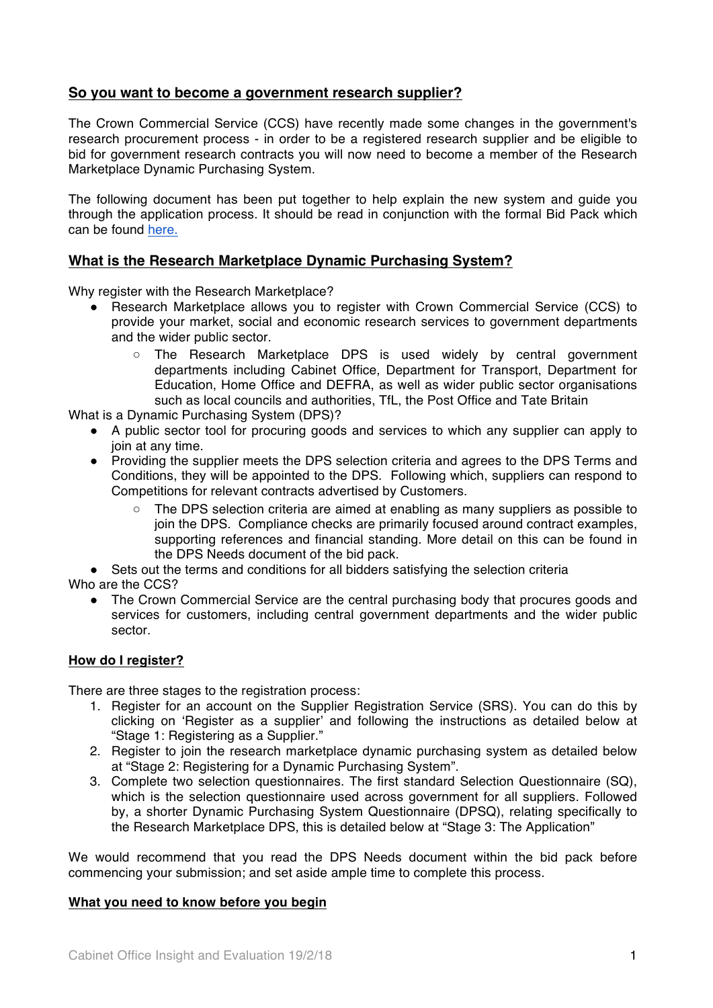# **So you want to become a government research supplier?**

The Crown Commercial Service (CCS) have recently made some changes in the government's research procurement process - in order to be a registered research supplier and be eligible to bid for government research contracts you will now need to become a member of the Research Marketplace Dynamic Purchasing System.

The following document has been put together to help explain the new system and guide you through the application process. It should be read in conjunction with the formal Bid Pack which can be found here.

# **What is the Research Marketplace Dynamic Purchasing System?**

Why register with the Research Marketplace?

- ! Research Marketplace allows you to register with Crown Commercial Service (CCS) to provide your market, social and economic research services to government departments and the wider public sector.
	- The Research Marketplace DPS is used widely by central government departments including Cabinet Office, Department for Transport, Department for Education, Home Office and DEFRA, as well as wider public sector organisations such as local councils and authorities, TfL, the Post Office and Tate Britain

What is a Dynamic Purchasing System (DPS)?

- A public sector tool for procuring goods and services to which any supplier can apply to join at any time.
- ! Providing the supplier meets the DPS selection criteria and agrees to the DPS Terms and Conditions, they will be appointed to the DPS. Following which, suppliers can respond to Competitions for relevant contracts advertised by Customers.
	- The DPS selection criteria are aimed at enabling as many suppliers as possible to join the DPS. Compliance checks are primarily focused around contract examples, supporting references and financial standing. More detail on this can be found in the DPS Needs document of the bid pack.
- ! Sets out the terms and conditions for all bidders satisfying the selection criteria
- Who are the CCS?
	- The Crown Commercial Service are the central purchasing body that procures goods and services for customers, including central government departments and the wider public sector.

# **How do I register?**

There are three stages to the registration process:

- 1. Register for an account on the Supplier Registration Service (SRS). You can do this by clicking on 'Register as a supplier' and following the instructions as detailed below at "Stage 1: Registering as a Supplier."
- 2. Register to join the research marketplace dynamic purchasing system as detailed below at "Stage 2: Registering for a Dynamic Purchasing System".
- 3. Complete two selection questionnaires. The first standard Selection Questionnaire (SQ), which is the selection questionnaire used across government for all suppliers. Followed by, a shorter Dynamic Purchasing System Questionnaire (DPSQ), relating specifically to the Research Marketplace DPS, this is detailed below at "Stage 3: The Application"

We would recommend that you read the DPS Needs document within the bid pack before commencing your submission; and set aside ample time to complete this process.

#### **What you need to know before you begin**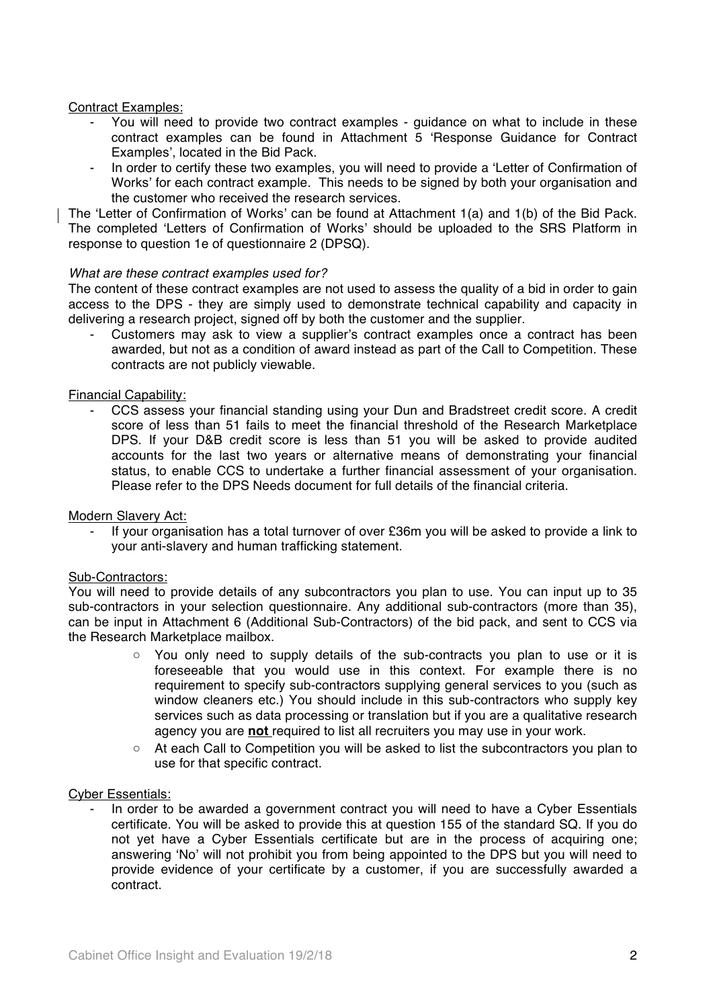# Contract Examples:

- You will need to provide two contract examples guidance on what to include in these contract examples can be found in Attachment 5 'Response Guidance for Contract Examples', located in the Bid Pack.
- In order to certify these two examples, you will need to provide a 'Letter of Confirmation of Works' for each contract example. This needs to be signed by both your organisation and the customer who received the research services.

The 'Letter of Confirmation of Works' can be found at Attachment 1(a) and 1(b) of the Bid Pack. The completed 'Letters of Confirmation of Works' should be uploaded to the SRS Platform in response to question 1e of questionnaire 2 (DPSQ).

# *What are these contract examples used for?*

The content of these contract examples are not used to assess the quality of a bid in order to gain access to the DPS - they are simply used to demonstrate technical capability and capacity in delivering a research project, signed off by both the customer and the supplier.

Customers may ask to view a supplier's contract examples once a contract has been awarded, but not as a condition of award instead as part of the Call to Competition. These contracts are not publicly viewable.

# Financial Capability:

- CCS assess your financial standing using your Dun and Bradstreet credit score. A credit score of less than 51 fails to meet the financial threshold of the Research Marketplace DPS. If your D&B credit score is less than 51 you will be asked to provide audited accounts for the last two years or alternative means of demonstrating your financial status, to enable CCS to undertake a further financial assessment of your organisation. Please refer to the DPS Needs document for full details of the financial criteria.

#### Modern Slavery Act:

If your organisation has a total turnover of over £36m you will be asked to provide a link to your anti-slavery and human trafficking statement.

#### Sub-Contractors:

You will need to provide details of any subcontractors you plan to use. You can input up to 35 sub-contractors in your selection questionnaire. Any additional sub-contractors (more than 35), can be input in Attachment 6 (Additional Sub-Contractors) of the bid pack, and sent to CCS via the Research Marketplace mailbox.

- You only need to supply details of the sub-contracts you plan to use or it is foreseeable that you would use in this context. For example there is no requirement to specify sub-contractors supplying general services to you (such as window cleaners etc.) You should include in this sub-contractors who supply key services such as data processing or translation but if you are a qualitative research agency you are **not** required to list all recruiters you may use in your work.
- At each Call to Competition you will be asked to list the subcontractors you plan to use for that specific contract.

#### Cyber Essentials:

- In order to be awarded a government contract you will need to have a Cyber Essentials certificate. You will be asked to provide this at question 155 of the standard SQ. If you do not yet have a Cyber Essentials certificate but are in the process of acquiring one; answering 'No' will not prohibit you from being appointed to the DPS but you will need to provide evidence of your certificate by a customer, if you are successfully awarded a contract.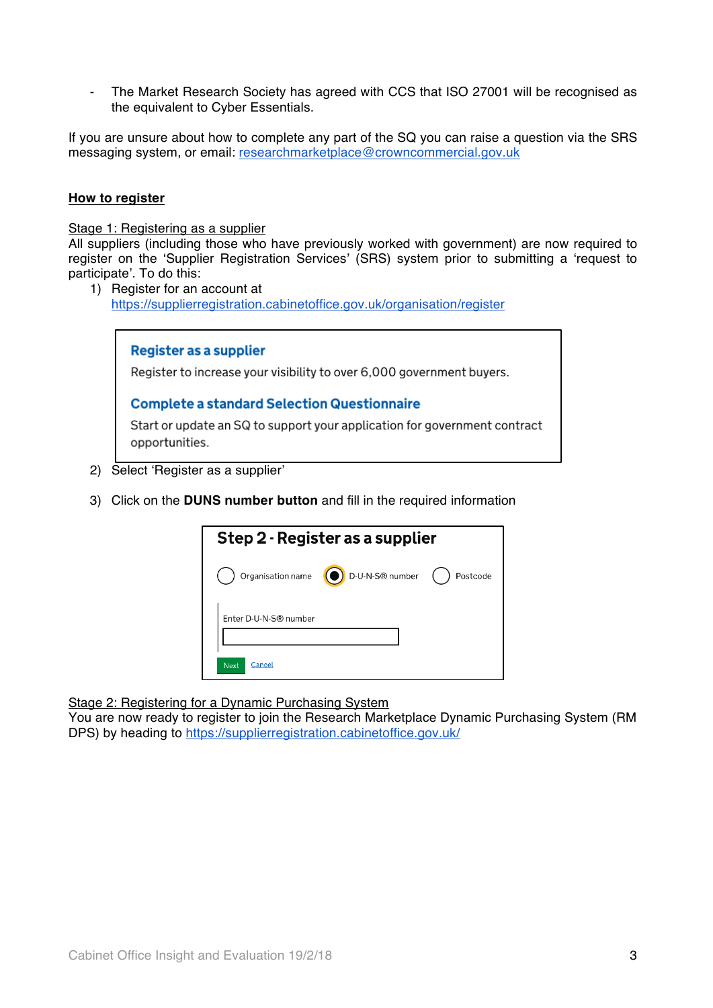- The Market Research Society has agreed with CCS that ISO 27001 will be recognised as the equivalent to Cyber Essentials.

If you are unsure about how to complete any part of the SQ you can raise a question via the SRS messaging system, or email: researchmarketplace@crowncommercial.gov.uk

# **How to register**

Stage 1: Registering as a supplier

All suppliers (including those who have previously worked with government) are now required to register on the 'Supplier Registration Services' (SRS) system prior to submitting a 'request to participate'. To do this:

1) Register for an account at https://supplierregistration.cabinetoffice.gov.uk/organisation/register



- 2) Select 'Register as a supplier'
- 3) Click on the **DUNS number button** and fill in the required information

| Step 2 - Register as a supplier |                 |          |
|---------------------------------|-----------------|----------|
| Organisation name (O)           | D-U-N-S® number | Postcode |
| Enter D-U-N-S® number           |                 |          |
| Cancel<br><b>Next</b>           |                 |          |

Stage 2: Registering for a Dynamic Purchasing System

You are now ready to register to join the Research Marketplace Dynamic Purchasing System (RM DPS) by heading to https://supplierregistration.cabinetoffice.gov.uk/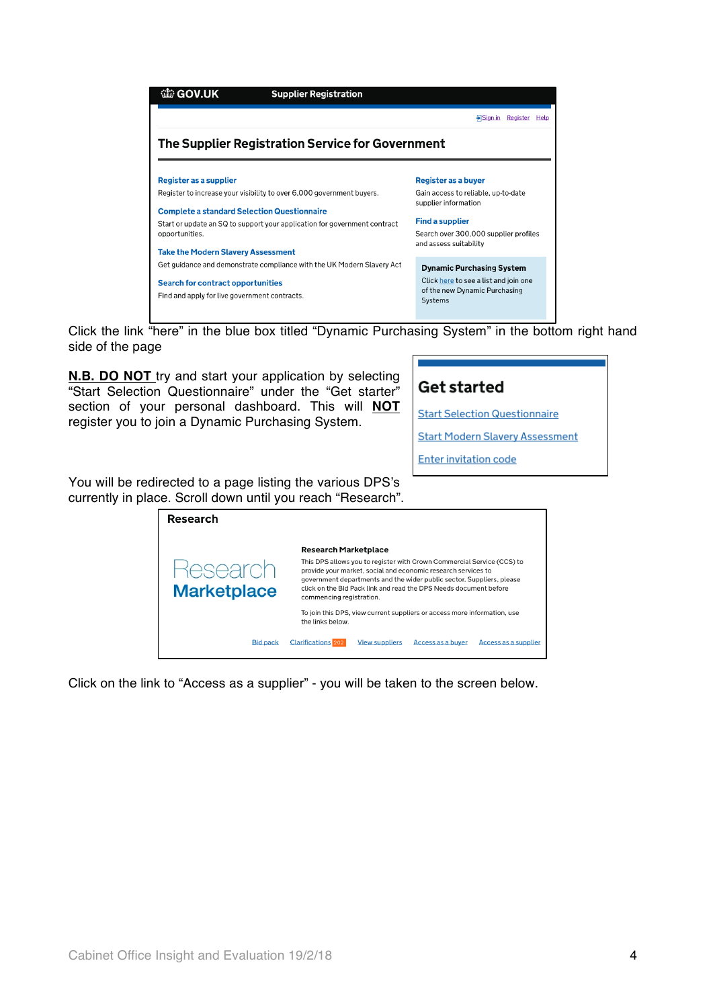

Click the link "here" in the blue box titled "Dynamic Purchasing System" in the bottom right hand side of the page

**N.B. DO NOT** try and start your application by selecting "Start Selection Questionnaire" under the "Get starter" section of your personal dashboard. This will **NOT**  register you to join a Dynamic Purchasing System.

# **Get started**

**Start Selection Questionnaire** 

**Start Modern Slavery Assessment** 

**Enter invitation code** 

You will be redirected to a page listing the various DPS's currently in place. Scroll down until you reach "Research".

| Research           |                                                                                                                                                                                                                                                                                                                   |  |  |
|--------------------|-------------------------------------------------------------------------------------------------------------------------------------------------------------------------------------------------------------------------------------------------------------------------------------------------------------------|--|--|
|                    | <b>Research Marketplace</b>                                                                                                                                                                                                                                                                                       |  |  |
| <b>Marketplace</b> | This DPS allows you to register with Crown Commercial Service (CCS) to<br>provide your market, social and economic research services to<br>government departments and the wider public sector. Suppliers, please<br>click on the Bid Pack link and read the DPS Needs document before<br>commencing registration. |  |  |
|                    | To join this DPS, view current suppliers or access more information, use<br>the links below.                                                                                                                                                                                                                      |  |  |
| <b>Bid pack</b>    | <b>Clarifications</b> 202<br><b>View suppliers</b><br>Access as a buver<br>Access as a supplier                                                                                                                                                                                                                   |  |  |

Click on the link to "Access as a supplier" - you will be taken to the screen below.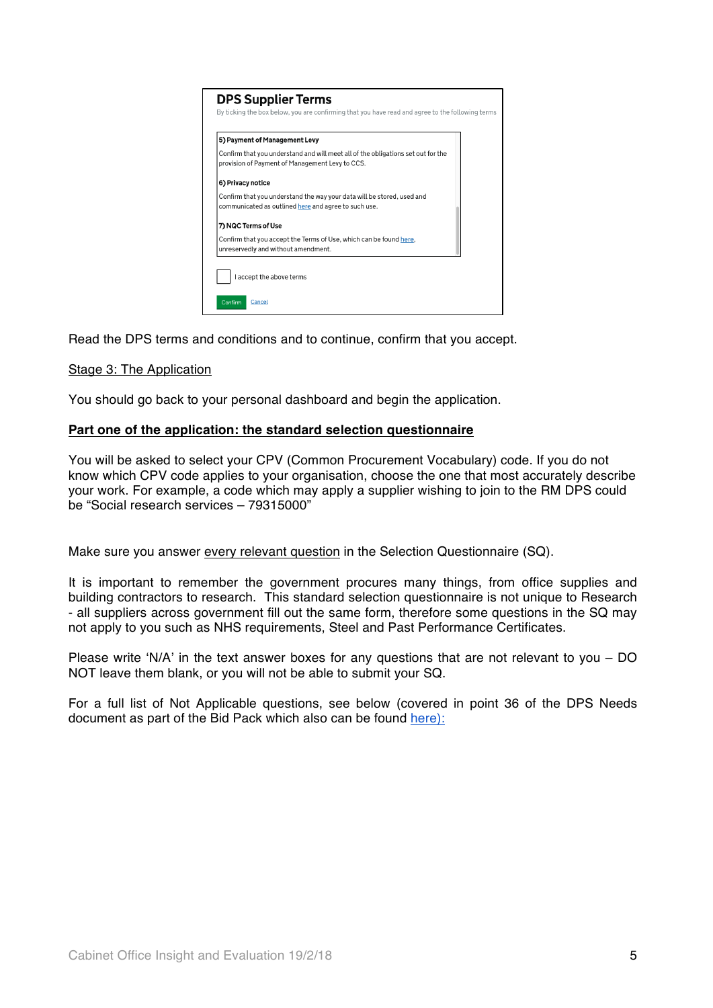

Read the DPS terms and conditions and to continue, confirm that you accept.

# Stage 3: The Application

You should go back to your personal dashboard and begin the application.

# **Part one of the application: the standard selection questionnaire**

You will be asked to select your CPV (Common Procurement Vocabulary) code. If you do not know which CPV code applies to your organisation, choose the one that most accurately describe your work. For example, a code which may apply a supplier wishing to join to the RM DPS could be "Social research services – 79315000"

Make sure you answer every relevant question in the Selection Questionnaire (SQ).

It is important to remember the government procures many things, from office supplies and building contractors to research. This standard selection questionnaire is not unique to Research - all suppliers across government fill out the same form, therefore some questions in the SQ may not apply to you such as NHS requirements, Steel and Past Performance Certificates.

Please write 'N/A' in the text answer boxes for any questions that are not relevant to you – DO NOT leave them blank, or you will not be able to submit your SQ.

For a full list of Not Applicable questions, see below (covered in point 36 of the DPS Needs document as part of the Bid Pack which also can be found here):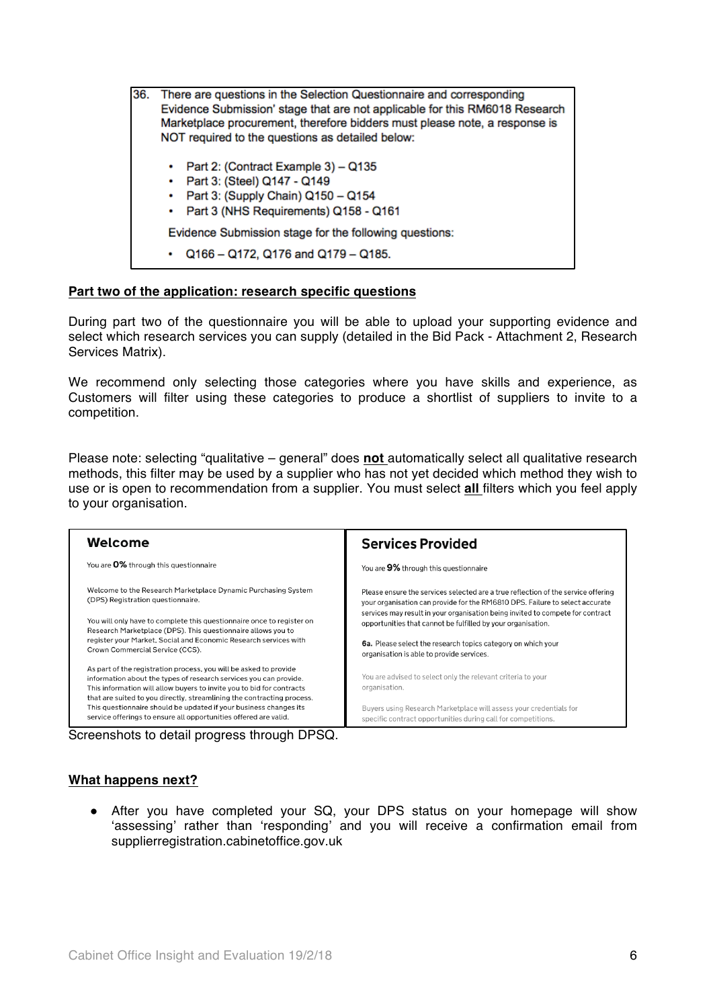36. There are questions in the Selection Questionnaire and corresponding Evidence Submission' stage that are not applicable for this RM6018 Research Marketplace procurement, therefore bidders must please note, a response is NOT required to the questions as detailed below: Part 2: (Contract Example 3) - Q135 • Part 3: (Steel) Q147 - Q149 • Part 3: (Supply Chain) Q150 - Q154 • Part 3 (NHS Requirements) Q158 - Q161 Evidence Submission stage for the following questions:  $\cdot$  Q166 - Q172, Q176 and Q179 - Q185.

# **Part two of the application: research specific questions**

During part two of the questionnaire you will be able to upload your supporting evidence and select which research services you can supply (detailed in the Bid Pack - Attachment 2, Research Services Matrix).

We recommend only selecting those categories where you have skills and experience, as Customers will filter using these categories to produce a shortlist of suppliers to invite to a competition.

Please note: selecting "qualitative – general" does **not** automatically select all qualitative research methods, this filter may be used by a supplier who has not yet decided which method they wish to use or is open to recommendation from a supplier. You must select **all** filters which you feel apply to your organisation.

| Welcome                                                                                                                                                                                                                                                                                   | <b>Services Provided</b>                                                          |  |
|-------------------------------------------------------------------------------------------------------------------------------------------------------------------------------------------------------------------------------------------------------------------------------------------|-----------------------------------------------------------------------------------|--|
| You are 0% through this questionnaire                                                                                                                                                                                                                                                     | You are 9% through this questionnaire                                             |  |
| Welcome to the Research Marketplace Dynamic Purchasing System                                                                                                                                                                                                                             | Please ensure the services selected are a true reflection of the service offering |  |
| (DPS) Registration questionnaire.                                                                                                                                                                                                                                                         | your organisation can provide for the RM6810 DPS. Failure to select accurate      |  |
| You will only have to complete this questionnaire once to register on                                                                                                                                                                                                                     | services may result in your organisation being invited to compete for contract    |  |
| Research Marketplace (DPS). This questionnaire allows you to                                                                                                                                                                                                                              | opportunities that cannot be fulfilled by your organisation.                      |  |
| register your Market, Social and Economic Research services with                                                                                                                                                                                                                          | 6a. Please select the research topics category on which your                      |  |
| Crown Commercial Service (CCS).                                                                                                                                                                                                                                                           | organisation is able to provide services.                                         |  |
| As part of the registration process, you will be asked to provide<br>information about the types of research services you can provide.<br>This information will allow buyers to invite you to bid for contracts<br>that are suited to you directly, streamlining the contracting process. | You are advised to select only the relevant criteria to your<br>organisation.     |  |
| This questionnaire should be updated if your business changes its                                                                                                                                                                                                                         | Buyers using Research Marketplace will assess your credentials for                |  |
| service offerings to ensure all opportunities offered are valid.                                                                                                                                                                                                                          | specific contract opportunities during call for competitions.                     |  |
| Screenshots to detail progress through DPSQ.                                                                                                                                                                                                                                              |                                                                                   |  |

**What happens next?** 

! After you have completed your SQ, your DPS status on your homepage will show 'assessing' rather than 'responding' and you will receive a confirmation email from supplierregistration.cabinetoffice.gov.uk